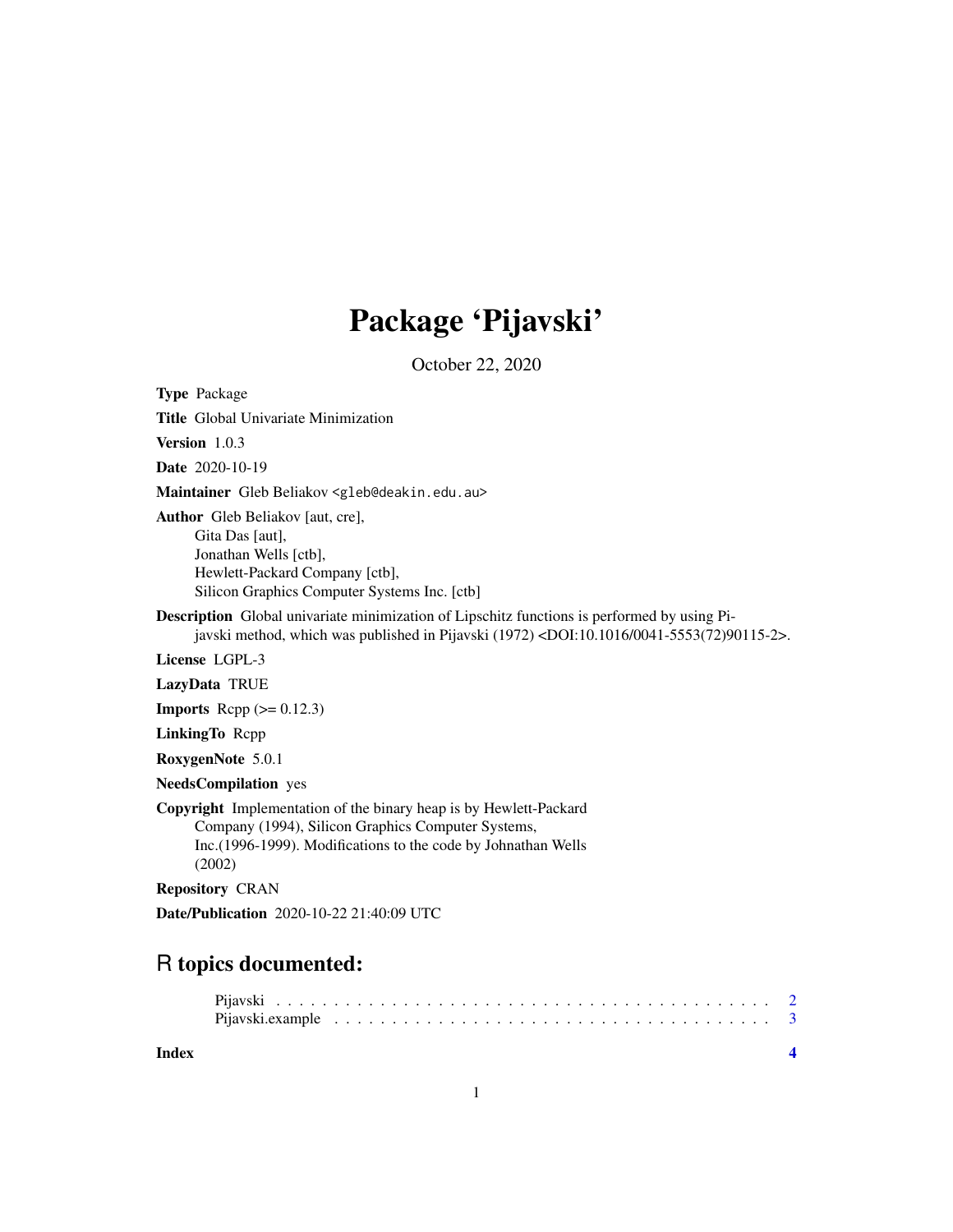## Package 'Pijavski'

October 22, 2020

Type Package

Title Global Univariate Minimization

Version 1.0.3

Date 2020-10-19

Maintainer Gleb Beliakov <gleb@deakin.edu.au>

Author Gleb Beliakov [aut, cre],

Gita Das [aut], Jonathan Wells [ctb], Hewlett-Packard Company [ctb], Silicon Graphics Computer Systems Inc. [ctb]

Description Global univariate minimization of Lipschitz functions is performed by using Pijavski method, which was published in Pijavski (1972) <DOI:10.1016/0041-5553(72)90115-2>.

License LGPL-3

LazyData TRUE

**Imports** Rcpp  $(>= 0.12.3)$ 

LinkingTo Rcpp

RoxygenNote 5.0.1

NeedsCompilation yes

Copyright Implementation of the binary heap is by Hewlett-Packard Company (1994), Silicon Graphics Computer Systems, Inc.(1996-1999). Modifications to the code by Johnathan Wells (2002)

Repository CRAN

Date/Publication 2020-10-22 21:40:09 UTC

### R topics documented:

**Index** [4](#page-3-0)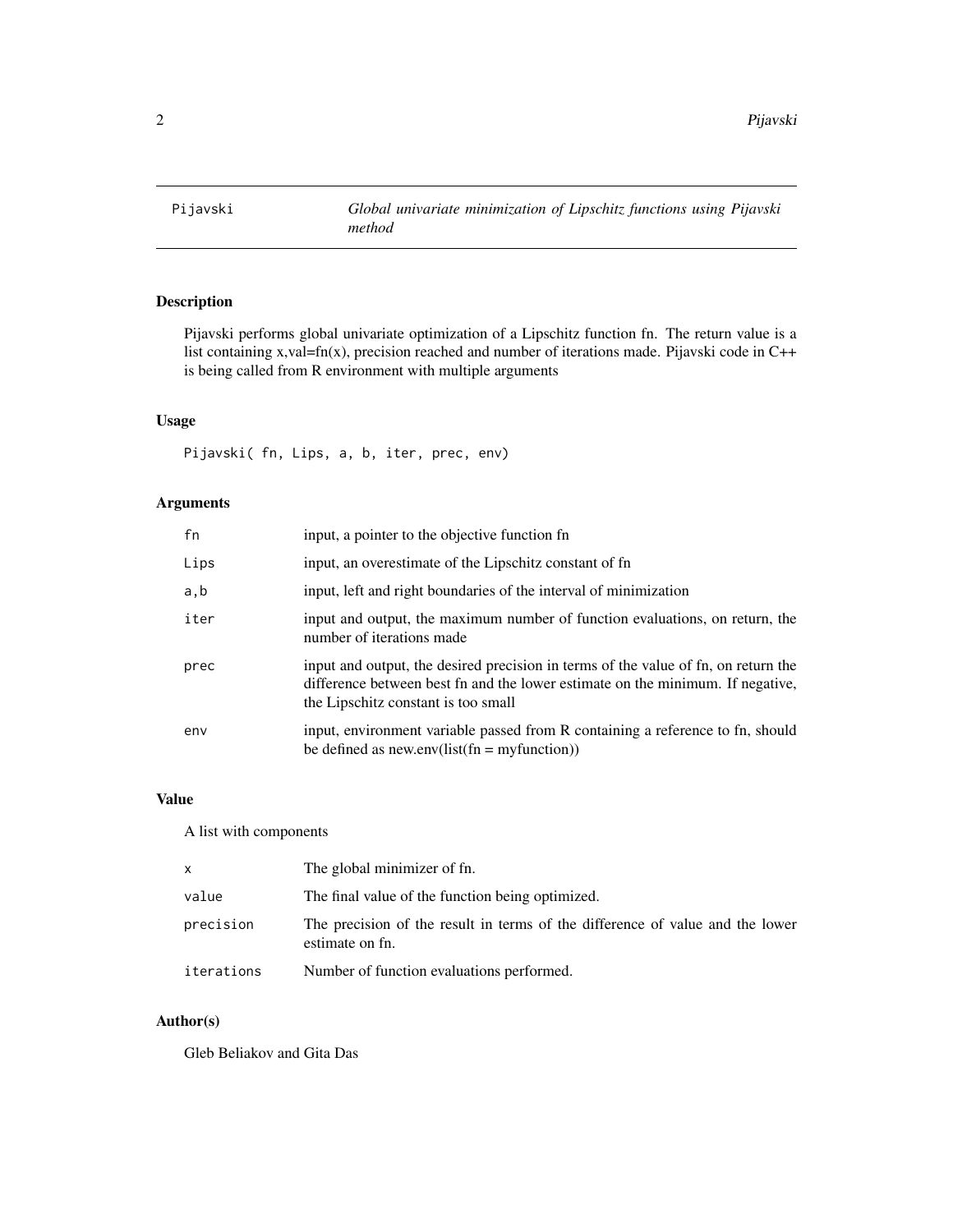<span id="page-1-0"></span>

#### Description

Pijavski performs global univariate optimization of a Lipschitz function fn. The return value is a list containing x,val=fn(x), precision reached and number of iterations made. Pijavski code in C++ is being called from R environment with multiple arguments

#### Usage

Pijavski( fn, Lips, a, b, iter, prec, env)

#### Arguments

| fn   | input, a pointer to the objective function fn                                                                                                                                                               |
|------|-------------------------------------------------------------------------------------------------------------------------------------------------------------------------------------------------------------|
| Lips | input, an overestimate of the Lipschitz constant of fn                                                                                                                                                      |
| a,b  | input, left and right boundaries of the interval of minimization                                                                                                                                            |
| iter | input and output, the maximum number of function evaluations, on return, the<br>number of iterations made                                                                                                   |
| prec | input and output, the desired precision in terms of the value of fn, on return the<br>difference between best fn and the lower estimate on the minimum. If negative,<br>the Lipschitz constant is too small |
| env  | input, environment variable passed from R containing a reference to fn, should<br>be defined as new.env(list(fn = myfunction))                                                                              |

#### Value

A list with components

| X          | The global minimizer of fn.                                                                      |
|------------|--------------------------------------------------------------------------------------------------|
| value      | The final value of the function being optimized.                                                 |
| precision  | The precision of the result in terms of the difference of value and the lower<br>estimate on fn. |
| iterations | Number of function evaluations performed.                                                        |

#### Author(s)

Gleb Beliakov and Gita Das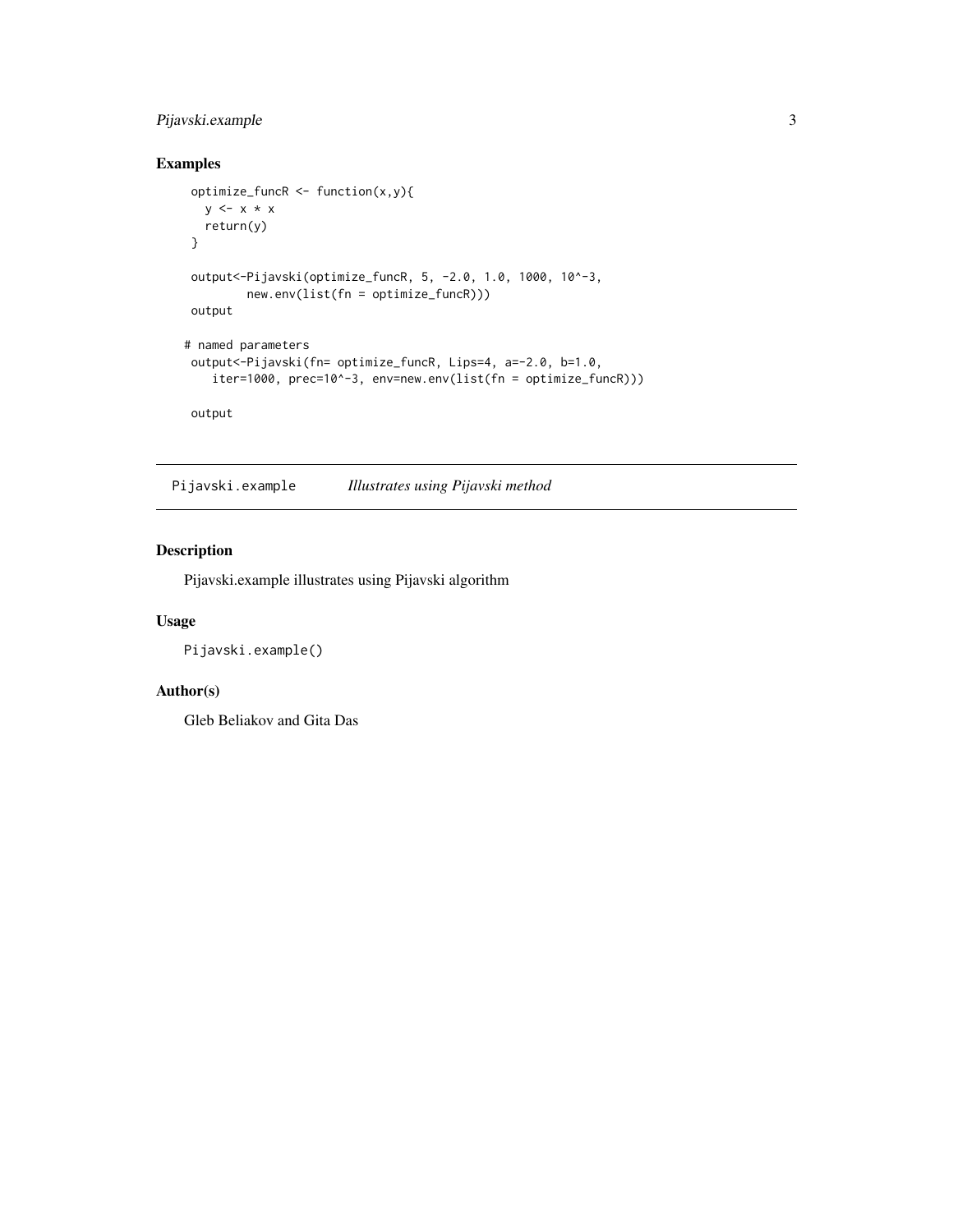#### <span id="page-2-0"></span>Pijavski.example 3

#### Examples

```
optimize_funcR <- function(x,y){
  y \leftarrow x * xreturn(y)
}
output<-Pijavski(optimize_funcR, 5, -2.0, 1.0, 1000, 10^-3,
         new.env(list(fn = optimize_funcR)))
output
# named parameters
output<-Pijavski(fn= optimize_funcR, Lips=4, a=-2.0, b=1.0,
   iter=1000, prec=10^-3, env=new.env(list(fn = optimize_funcR)))
output
```
Pijavski.example *Illustrates using Pijavski method*

#### Description

Pijavski.example illustrates using Pijavski algorithm

#### Usage

Pijavski.example()

#### Author(s)

Gleb Beliakov and Gita Das